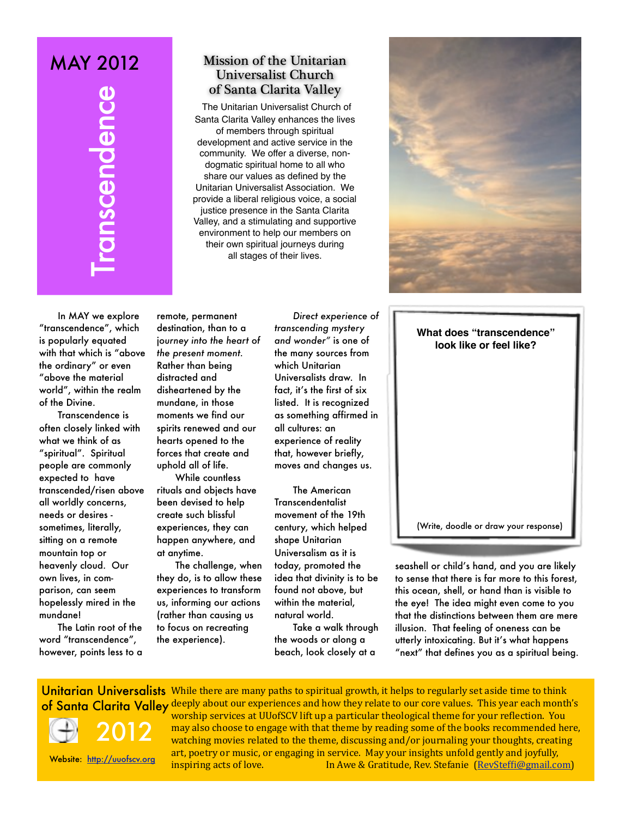# MAY 2012

# Mission of the Unitarian Universalist Church of Santa Clarita Valley

The Unitarian Universalist Church of Santa Clarita Valley enhances the lives of members through spiritual development and active service in the community. We offer a diverse, nondogmatic spiritual home to all who share our values as defined by the Unitarian Universalist Association. We provide a liberal religious voice, a social justice presence in the Santa Clarita Valley, and a stimulating and supportive environment to help our members on their own spiritual journeys during all stages of their lives.



In MAY we explore "transcendence", which is popularly equated with that which is "above the ordinary" or even "above the material world", within the realm of the Divine.

**CONTRACT SANTAGE AND THE CONTRACT SANTAGE (THE CONTRACT SANTAGE SPONDIFIC SANTAGE SPOND TO SANTAGE AND THE CONTRACT SANTAGE AND SERVICE AND SERVICE AND SERVICE AND SERVICE AND SERVICE AND SERVICE AND SERVICE AND SERVICE A** Transcendence is often closely linked with what we think of as "spiritual". Spiritual people are commonly expected to have transcended/risen above all worldly concerns, needs or desires sometimes, literally, sitting on a remote mountain top or heavenly cloud. Our own lives, in comparison, can seem hopelessly mired in the mundane!

The Latin root of the word "transcendence", however, points less to a

remote, permanent destination, than to a j*ourney into the heart of the present moment.*  Rather than being distracted and disheartened by the mundane, in those moments we find our spirits renewed and our hearts opened to the forces that create and uphold all of life.

While countless rituals and objects have been devised to help create such blissful experiences, they can happen anywhere, and at anytime.

The challenge, when they do, is to allow these experiences to transform us, informing our actions (rather than causing us to focus on recreating the experience).

*Direct experience of transcending mystery and wonder"* is one of the many sources from which Unitarian Universalists draw. In fact, it's the first of six listed. It is recognized as something affirmed in all cultures: an experience of reality that, however briefly, moves and changes us.

The American Transcendentalist movement of the 19th century, which helped shape Unitarian Universalism as it is today, promoted the idea that divinity is to be found not above, but within the material, natural world.

Take a walk through the woods or along a beach, look closely at a

**What does "transcendence" look like or feel like?**

(Write, doodle or draw your response)

seashell or child's hand, and you are likely to sense that there is far more to this forest, this ocean, shell, or hand than is visible to the eye! The idea might even come to you that the distinctions between them are mere illusion. That feeling of oneness can be utterly intoxicating. But it's what happens "next" that defines you as a spiritual being.

Unitarian Universalists While there are many paths to spiritual growth, it helps to regularly set aside time to think of Santa Clarita Valley deeply about our experiences and how they relate to our core values. This year each month's worship services at UUofSCV lift up a particular theological theme for your reflection. You may also choose to engage with that theme by reading some of the books recommended here, 2012





watching movies related to the theme, discussing and/or journaling your thoughts, creating art, poetry or music, or engaging in service. May your insights unfold gently and joyfully, inspiring acts of love. In Awe & Gratitude, Rev. Stefanie [\(RevStefBi@gmail.com\)](mailto:RevSteffi@gmail.com)